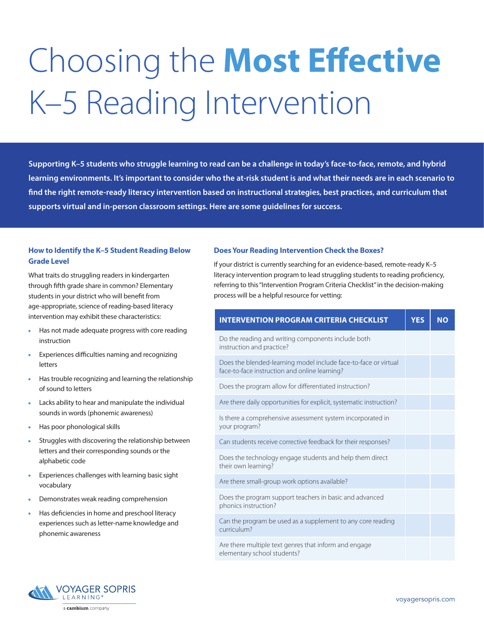# Choosing the **Most Effective** K–5 Reading Intervention

**Supporting K–5 students who struggle learning to read can be a challenge in today's face-to-face, remote, and hybrid learning environments. It's important to consider who the at-risk student is and what their needs are in each scenario to find the right remote-ready literacy intervention based on instructional strategies, best practices, and curriculum that supports virtual and in-person classroom settings. Here are some guidelines for success.**

# **How to Identify the K–5 Student Reading Below Grade Level**

What traits do struggling readers in kindergarten through fifth grade share in common? Elementary students in your district who will benefit from age-appropriate, science of reading-based literacy intervention may exhibit these characteristics:

- Has not made adequate progress with core reading instruction
- Experiences difficulties naming and recognizing letters
- Has trouble recognizing and learning the relationship of sound to letters
- Lacks ability to hear and manipulate the individual sounds in words (phonemic awareness)
- Has poor phonological skills
- Struggles with discovering the relationship between letters and their corresponding sounds or the alphabetic code
- Experiences challenges with learning basic sight vocabulary
- Demonstrates weak reading comprehension
- Has deficiencies in home and preschool literacy experiences such as letter-name knowledge and phonemic awareness

## **Does Your Reading Intervention Check the Boxes?**

If your district is currently searching for an evidence-based, remote-ready K–5 literacy intervention program to lead struggling students to reading proficiency, referring to this "Intervention Program Criteria Checklist" in the decision-making process will be a helpful resource for vetting:

| <b>INTERVENTION PROGRAM CRITERIA CHECKLIST</b>                                                                   | <b>YES</b> | <b>NO</b> |
|------------------------------------------------------------------------------------------------------------------|------------|-----------|
| Do the reading and writing components include both<br>instruction and practice?                                  |            |           |
| Does the blended-learning model include face-to-face or virtual<br>face-to-face instruction and online learning? |            |           |
| Does the program allow for differentiated instruction?                                                           |            |           |
| Are there daily opportunities for explicit, systematic instruction?                                              |            |           |
| Is there a comprehensive assessment system incorporated in<br>your program?                                      |            |           |
| Can students receive corrective feedback for their responses?                                                    |            |           |
| Does the technology engage students and help them direct<br>their own learning?                                  |            |           |
| Are there small-group work options available?                                                                    |            |           |
| Does the program support teachers in basic and advanced<br>phonics instruction?                                  |            |           |
| Can the program be used as a supplement to any core reading<br>curriculum?                                       |            |           |
| Are there multiple text genres that inform and engage<br>elementary school students?                             |            |           |